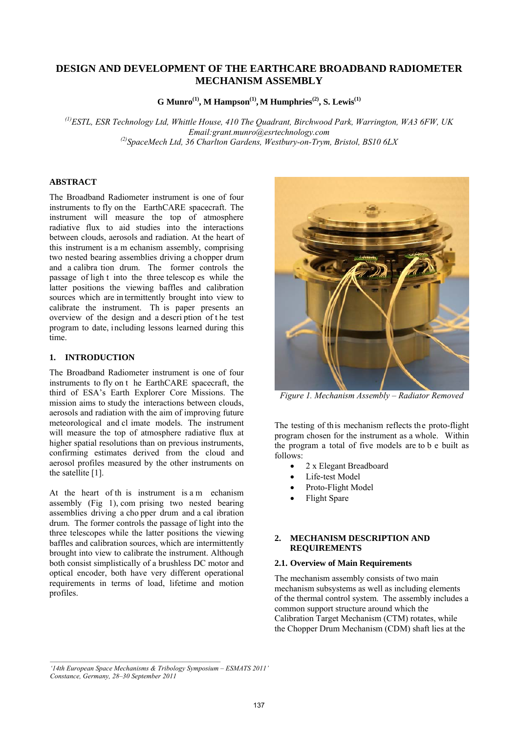# **DESIGN AND DEVELOPMENT OF THE EARTHCARE BROADBAND RADIOMETER MECHANISM ASSEMBLY**

**G Munro(1), M Hampson(1), M Humphries(2), S. Lewis(1)**

*(1)ESTL, ESR Technology Ltd, Whittle House, 410 The Quadrant, Birchwood Park, Warrington, WA3 6FW, UK Email:grant.munro@esrtechnology.com (2)SpaceMech Ltd, 36 Charlton Gardens, Westbury-on-Trym, Bristol, BS10 6LX* 

### **ABSTRACT**

The Broadband Radiometer instrument is one of four instruments to fly on the EarthCARE spacecraft. The instrument will measure the top of atmosphere radiative flux to aid studies into the interactions between clouds, aerosols and radiation. At the heart of this instrument is a m echanism assembly, comprising two nested bearing assemblies driving a chopper drum and a calibra tion drum. The former controls the passage of ligh t into the three telescop es while the latter positions the viewing baffles and calibration sources which are in termittently brought into view to calibrate the instrument. Th is paper presents an overview of the design and a descri ption of t he test program to date, including lessons learned during this time.

## **1. INTRODUCTION**

The Broadband Radiometer instrument is one of four instruments to fly on t he EarthCARE spacecraft, the third of ESA's Earth Explorer Core Missions. The mission aims to study the interactions between clouds, aerosols and radiation with the aim of improving future meteorological and cl imate models. The instrument will measure the top of atmosphere radiative flux at higher spatial resolutions than on previous instruments, confirming estimates derived from the cloud and aerosol profiles measured by the other instruments on the satellite [1].

At the heart of th is instrument is a m echanism assembly (Fig 1), com prising two nested bearing assemblies driving a cho pper drum and a cal ibration drum. The former controls the passage of light into the three telescopes while the latter positions the viewing baffles and calibration sources, which are intermittently brought into view to calibrate the instrument. Although both consist simplistically of a brushless DC motor and optical encoder, both have very different operational requirements in terms of load, lifetime and motion profiles.



*Figure 1. Mechanism Assembly – Radiator Removed* 

The testing of this mechanism reflects the proto-flight program chosen for the instrument as a whole. Within the program a total of five models are to b e built as follows:

- 2 x Elegant Breadboard
- Life-test Model
- Proto-Flight Model
- Flight Spare

#### **2. MECHANISM DESCRIPTION AND REQUIREMENTS**

#### **2.1. Overview of Main Requirements**

The mechanism assembly consists of two main mechanism subsystems as well as including elements of the thermal control system. The assembly includes a common support structure around which the Calibration Target Mechanism (CTM) rotates, while the Chopper Drum Mechanism (CDM) shaft lies at the

*\_\_\_\_\_\_\_\_\_\_\_\_\_\_\_\_\_\_\_\_\_\_\_\_\_\_\_\_\_\_\_\_\_\_\_\_\_\_\_\_\_\_\_\_\_\_\_\_\_*

*<sup>&#</sup>x27;14th European Space Mechanisms & Tribology Symposium – ESMATS 2011' Constance, Germany, 28–30 September 2011*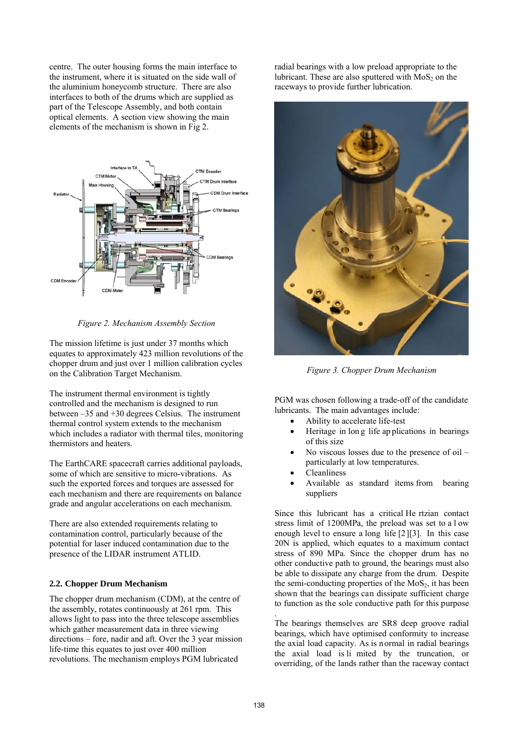centre. The outer housing forms the main interface to the instrument, where it is situated on the side wall of the aluminium honeycomb structure. There are also interfaces to both of the drums which are supplied as part of the Telescope Assembly, and both contain optical elements. A section view showing the main elements of the mechanism is shown in Fig 2.



*Figure 2. Mechanism Assembly Section* 

The mission lifetime is just under 37 months which equates to approximately 423 million revolutions of the chopper drum and just over 1 million calibration cycles on the Calibration Target Mechanism.

The instrument thermal environment is tightly controlled and the mechanism is designed to run between –35 and +30 degrees Celsius. The instrument thermal control system extends to the mechanism which includes a radiator with thermal tiles, monitoring thermistors and heaters.

The EarthCARE spacecraft carries additional payloads, some of which are sensitive to micro-vibrations. As such the exported forces and torques are assessed for each mechanism and there are requirements on balance grade and angular accelerations on each mechanism.

There are also extended requirements relating to contamination control, particularly because of the potential for laser induced contamination due to the presence of the LIDAR instrument ATLID.

## **2.2. Chopper Drum Mechanism**

The chopper drum mechanism (CDM), at the centre of the assembly, rotates continuously at 261 rpm. This allows light to pass into the three telescope assemblies which gather measurement data in three viewing directions – fore, nadir and aft. Over the 3 year mission life-time this equates to just over 400 million revolutions. The mechanism employs PGM lubricated

radial bearings with a low preload appropriate to the lubricant. These are also sputtered with  $MoS<sub>2</sub>$  on the raceways to provide further lubrication.



*Figure 3. Chopper Drum Mechanism* 

PGM was chosen following a trade-off of the candidate lubricants. The main advantages include:

- Ability to accelerate life-test
- Heritage in lon g life ap plications in bearings of this size
- No viscous losses due to the presence of oil  $$ particularly at low temperatures.
- **Cleanliness**
- Available as standard items from bearing suppliers

Since this lubricant has a critical He rtzian contact stress limit of 1200MPa, the preload was set to a l ow enough level to ensure a long life [2][3]. In this case 20N is applied, which equates to a maximum contact stress of 890 MPa. Since the chopper drum has no other conductive path to ground, the bearings must also be able to dissipate any charge from the drum. Despite the semi-conducting properties of the  $MoS<sub>2</sub>$ , it has been shown that the bearings can dissipate sufficient charge to function as the sole conductive path for this purpose

The bearings themselves are SR8 deep groove radial bearings, which have optimised conformity to increase the axial load capacity. As is n ormal in radial bearings the axial load is li mited by the truncation, or overriding, of the lands rather than the raceway contact

.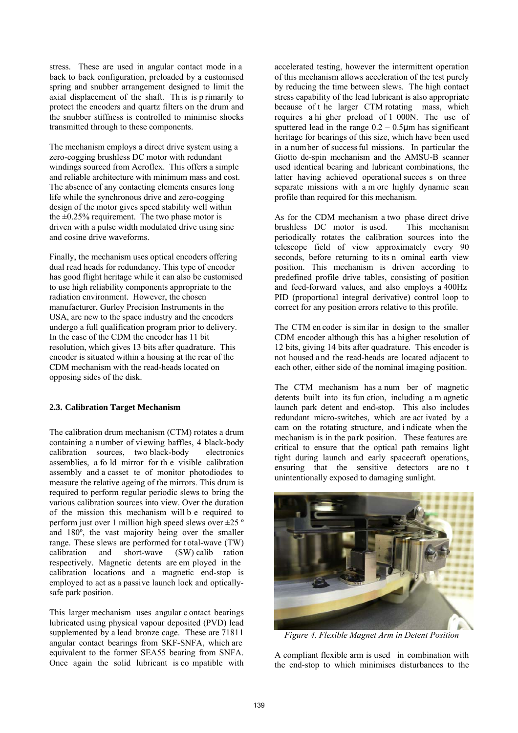stress. These are used in angular contact mode in a back to back configuration, preloaded by a customised spring and snubber arrangement designed to limit the axial displacement of the shaft. Th is is p rimarily to protect the encoders and quartz filters on the drum and the snubber stiffness is controlled to minimise shocks transmitted through to these components.

The mechanism employs a direct drive system using a zero-cogging brushless DC motor with redundant windings sourced from Aeroflex. This offers a simple and reliable architecture with minimum mass and cost. The absence of any contacting elements ensures long life while the synchronous drive and zero-cogging design of the motor gives speed stability well within the  $\pm 0.25\%$  requirement. The two phase motor is driven with a pulse width modulated drive using sine and cosine drive waveforms.

Finally, the mechanism uses optical encoders offering dual read heads for redundancy. This type of encoder has good flight heritage while it can also be customised to use high reliability components appropriate to the radiation environment. However, the chosen manufacturer, Gurley Precision Instruments in the USA, are new to the space industry and the encoders undergo a full qualification program prior to delivery. In the case of the CDM the encoder has 11 bit resolution, which gives 13 bits after quadrature. This encoder is situated within a housing at the rear of the CDM mechanism with the read-heads located on opposing sides of the disk.

#### **2.3. Calibration Target Mechanism**

The calibration drum mechanism (CTM) rotates a drum containing a number of viewing baffles, 4 black-body calibration sources, two black-body electronics assemblies, a fo ld mirror for th e visible calibration assembly and a casset te of monitor photodiodes to measure the relative ageing of the mirrors. This drum is required to perform regular periodic slews to bring the various calibration sources into view. Over the duration of the mission this mechanism will b e required to perform just over 1 million high speed slews over  $\pm 25$  ° and 180º, the vast majority being over the smaller range. These slews are performed for t otal-wave (TW) calibration and short-wave (SW) calib ration respectively. Magnetic detents are em ployed in the calibration locations and a magnetic end-stop is employed to act as a passive launch lock and opticallysafe park position.

This larger mechanism uses angular c ontact bearings lubricated using physical vapour deposited (PVD) lead supplemented by a lead bronze cage. These are 71811 angular contact bearings from SKF-SNFA, which are equivalent to the former SEA55 bearing from SNFA. Once again the solid lubricant is co mpatible with

accelerated testing, however the intermittent operation of this mechanism allows acceleration of the test purely by reducing the time between slews. The high contact stress capability of the lead lubricant is also appropriate because of t he larger CTM rotating mass, which requires a hi gher preload of 1 000N. The use of sputtered lead in the range  $0.2 - 0.5$ μm has significant heritage for bearings of this size, which have been used in a number of success ful missions. In particular the Giotto de-spin mechanism and the AMSU-B scanner used identical bearing and lubricant combinations, the latter having achieved operational succes s on three separate missions with a m ore highly dynamic scan profile than required for this mechanism.

As for the CDM mechanism a two phase direct drive brushless DC motor is used. This mechanism periodically rotates the calibration sources into the telescope field of view approximately every 90 seconds, before returning to its n ominal earth view position. This mechanism is driven according to predefined profile drive tables, consisting of position and feed-forward values, and also employs a 400Hz PID (proportional integral derivative) control loop to correct for any position errors relative to this profile.

The CTM en coder is sim ilar in design to the smaller CDM encoder although this has a higher resolution of 12 bits, giving 14 bits after quadrature. This encoder is not housed and the read-heads are located adjacent to each other, either side of the nominal imaging position.

The CTM mechanism has a num ber of magnetic detents built into its fun ction, including a m agnetic launch park detent and end-stop. This also includes redundant micro-switches, which are act ivated by a cam on the rotating structure, and i ndicate when the mechanism is in the park position. These features are critical to ensure that the optical path remains light tight during launch and early spacecraft operations, ensuring that the sensitive detectors are no t unintentionally exposed to damaging sunlight.



*Figure 4. Flexible Magnet Arm in Detent Position*

A compliant flexible arm is used in combination with the end-stop to which minimises disturbances to the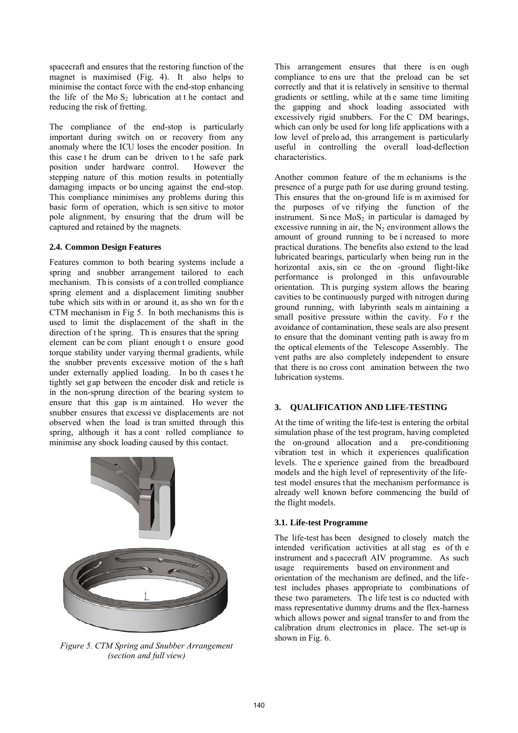spacecraft and ensures that the restoring function of the magnet is maximised (Fig. 4). It also helps to minimise the contact force with the end-stop enhancing the life of the Mo  $S_2$  lubrication at the contact and reducing the risk of fretting.

The compliance of the end-stop is particularly important during switch on or recovery from any anomaly where the ICU loses the encoder position. In this case t he drum can be driven to t he safe park<br>position under hardware control. However the position under hardware control. stepping nature of this motion results in potentially damaging impacts or bo uncing against the end-stop. This compliance minimises any problems during this basic form of operation, which is sen sitive to motor pole alignment, by ensuring that the drum will be captured and retained by the magnets.

## **2.4. Common Design Features**

Features common to both bearing systems include a spring and snubber arrangement tailored to each mechanism. This consists of a controlled compliance spring element and a displacement limiting snubber tube which sits with in or around it, as sho wn for th e CTM mechanism in Fig 5. In both mechanisms this is used to limit the displacement of the shaft in the direction of the spring. This ensures that the spring element can be com pliant enough t o ensure good torque stability under varying thermal gradients, while the snubber prevents excessive motion of the s haft under externally applied loading. In bo th cases t he tightly set gap between the encoder disk and reticle is in the non-sprung direction of the bearing system to ensure that this gap is m aintained. Ho wever the snubber ensures that excessi ve displacements are not observed when the load is tran smitted through this spring, although it has a cont rolled compliance to minimise any shock loading caused by this contact.



*Figure 5. CTM Spring and Snubber Arrangement (section and full view)* 

This arrangement ensures that there is en ough compliance to ens ure that the preload can be set correctly and that it is relatively in sensitive to thermal gradients or settling, while at th e same time limiting the gapping and shock loading associated with excessively rigid snubbers. For the C DM bearings, which can only be used for long life applications with a low level of prelo ad, this arrangement is particularly useful in controlling the overall load-deflection characteristics.

Another common feature of the m echanisms is the presence of a purge path for use during ground testing. This ensures that the on-ground life is m aximised for the purposes of ve rifying the function of the instrument. Si nce  $MoS<sub>2</sub>$  in particular is damaged by excessive running in air, the  $N<sub>2</sub>$  environment allows the amount of ground running to be i ncreased to more practical durations. The benefits also extend to the lead lubricated bearings, particularly when being run in the horizontal axis, sin ce the on -ground flight-like performance is prolonged in this unfavourable orientation. Th is purging system allows the bearing cavities to be continuously purged with nitrogen during ground running, with labyrinth seals m aintaining a small positive pressure within the cavity. Fo r the avoidance of contamination, these seals are also present to ensure that the dominant venting path is away fro m the optical elements of the Telescope Assembly. The vent paths are also completely independent to ensure that there is no cross cont amination between the two lubrication systems.

# **3. QUALIFICATION AND LIFE-TESTING**

At the time of writing the life-test is entering the orbital simulation phase of the test program, having completed the on-ground allocation and a pre-conditioning vibration test in which it experiences qualification levels. The e xperience gained from the breadboard models and the high level of representivity of the lifetest model ensures that the mechanism performance is already well known before commencing the build of the flight models.

## **3.1. Life-test Programme**

The life-test has been designed to closely match the intended verification activities at all stag es of th e instrument and s pacecraft AIV programme. As such usage requirements based on environment and orientation of the mechanism are defined, and the lifetest includes phases appropriate to combinations of these two parameters. The life test is co nducted with mass representative dummy drums and the flex-harness which allows power and signal transfer to and from the calibration drum electronics in place. The set-up is shown in Fig. 6.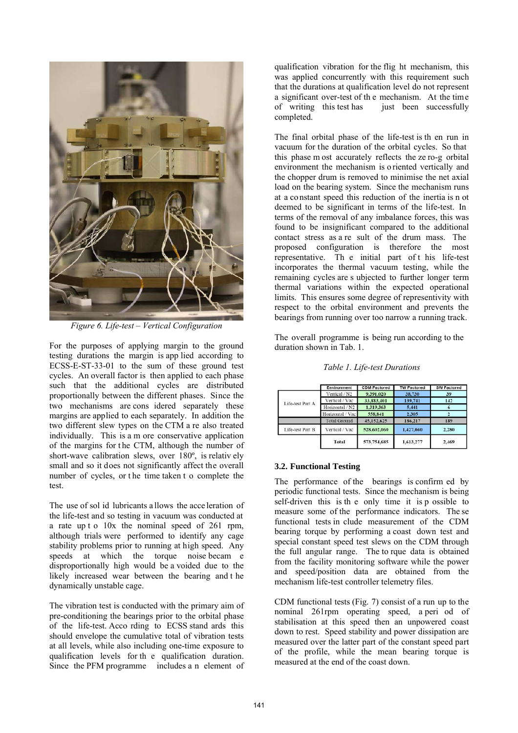

*Figure 6. Life-test – Vertical Configuration*

For the purposes of applying margin to the ground testing durations the margin is app lied according to ECSS-E-ST-33-01 to the sum of these ground test cycles. An overall factor is then applied to each phase such that the additional cycles are distributed proportionally between the different phases. Since the two mechanisms are cons idered separately these margins are applied to each separately. In addition the two different slew types on the CTM a re also treated individually. This is a m ore conservative application of the margins for t he CTM, although the number of short-wave calibration slews, over 180º, is relativ ely small and so it does not significantly affect the overall number of cycles, or t he time taken t o complete the test.

The use of sol id lubricants a llows the acce leration of the life-test and so testing in vacuum was conducted at a rate up t o 10x the nominal speed of 261 rpm, although trials were performed to identify any cage stability problems prior to running at high speed. Any speeds at which the torque noise becam e disproportionally high would be a voided due to the likely increased wear between the bearing and t he dynamically unstable cage.

The vibration test is conducted with the primary aim of pre-conditioning the bearings prior to the orbital phase of the life-test. Acco rding to ECSS stand ards this should envelope the cumulative total of vibration tests at all levels, while also including one-time exposure to qualification levels for th e qualification duration. Since the PFM programme includes a n element of

qualification vibration for the flig ht mechanism, this was applied concurrently with this requirement such that the durations at qualification level do not represent a significant over-test of th e mechanism. At the time of writing this test has just been successfully completed.

The final orbital phase of the life-test is th en run in vacuum for the duration of the orbital cycles. So that this phase m ost accurately reflects the ze ro-g orbital environment the mechanism is o riented vertically and the chopper drum is removed to minimise the net axial load on the bearing system. Since the mechanism runs at a co nstant speed this reduction of the inertia is n ot deemed to be significant in terms of the life-test. In terms of the removal of any imbalance forces, this was found to be insignificant compared to the additional contact stress as a re sult of the drum mass. The proposed configuration is therefore the most representative. Th e initial part of t his life-test incorporates the thermal vacuum testing, while the remaining cycles are s ubjected to further longer term thermal variations within the expected operational limits. This ensures some degree of representivity with respect to the orbital environment and prevents the bearings from running over too narrow a running track.

The overall programme is being run according to the duration shown in Tab. 1.

*Table 1. Life-test Durations* 

|                  | Environment         | <b>CDM Factored</b> | <b>TW Factored</b> | <b>SW Factored</b> |
|------------------|---------------------|---------------------|--------------------|--------------------|
| Life-test Part A | Vertical / N2       | 9,391,020           | 38,730             | 39                 |
|                  | Vertical / Vac      | 33,883,401          | 139,741            | 142                |
|                  | Horizontal / N2     | 1.319.363           | 5.441              | 6                  |
|                  | Horizontal / Vac    | 558,841             | 2,305              |                    |
|                  | <b>Total Ground</b> | 45,152,625          | 186,217            | 189                |
| Life-test Part B | Vertical / Vac      | 528,602,060         | 1,427,060          | 2.280              |
|                  | Total               | 573,754,685         | 1,613,277          | 2,469              |

# **3.2. Functional Testing**

The performance of the bearings is confirm ed by periodic functional tests. Since the mechanism is being self-driven this is th e only time it is p ossible to measure some of the performance indicators. The se functional tests in clude measurement of the CDM bearing torque by performing a coast down test and special constant speed test slews on the CDM through the full angular range. The to rque data is obtained from the facility monitoring software while the power and speed/position data are obtained from the mechanism life-test controller telemetry files.

CDM functional tests (Fig. 7) consist of a run up to the nominal 261rpm operating speed, a peri od of stabilisation at this speed then an unpowered coast down to rest. Speed stability and power dissipation are measured over the latter part of the constant speed part of the profile, while the mean bearing torque is measured at the end of the coast down.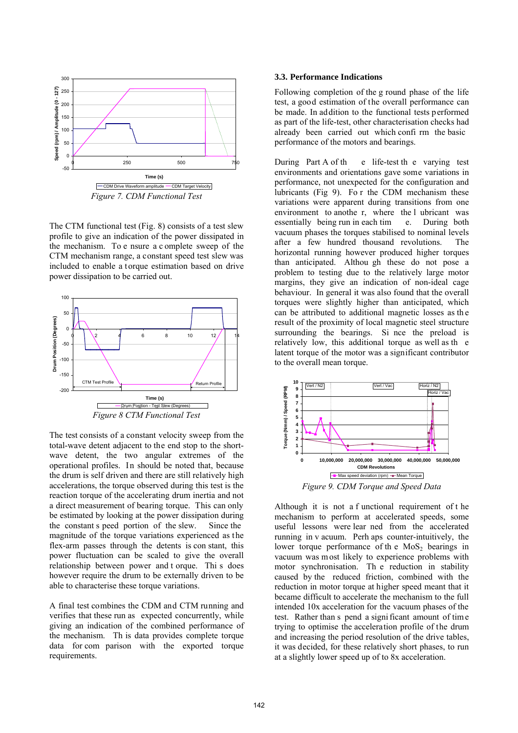

The CTM functional test (Fig. 8) consists of a test slew profile to give an indication of the power dissipated in the mechanism. To e nsure a c omplete sweep of the CTM mechanism range, a constant speed test slew was included to enable a torque estimation based on drive power dissipation to be carried out.



The test consists of a constant velocity sweep from the total-wave detent adjacent to the end stop to the shortwave detent, the two angular extremes of the operational profiles. In should be noted that, because the drum is self driven and there are still relatively high accelerations, the torque observed during this test is the reaction torque of the accelerating drum inertia and not a direct measurement of bearing torque. This can only be estimated by looking at the power dissipation during the constant s peed portion of the slew. Since the magnitude of the torque variations experienced as the flex-arm passes through the detents is con stant, this power fluctuation can be scaled to give the overall relationship between power and t orque. Thi s does however require the drum to be externally driven to be able to characterise these torque variations.

A final test combines the CDM and CTM running and verifies that these run as expected concurrently, while giving an indication of the combined performance of the mechanism. Th is data provides complete torque data for com parison with the exported torque requirements.

#### **.3. Performance Indications 3**

Following completion of the g round phase of the life test, a good estimation of the overall performance can be made. In addition to the functional tests performed as part of the life-test, other characterisation checks had already been carried out which confi rm the basic performance of the motors and bearings.

e life-test th e varying test During Part A of th environments and orientations gave some variations in performance, not unexpected for the configuration and lubricants (Fig 9). Fo r the CDM mechanism these variations were apparent during transitions from one environment to anothe r, where the l ubricant was essentially being run in each tim e. During both vacuum phases the torques stabilised to nominal levels after a few hundred thousand revolutions. The horizontal running however produced higher torques than anticipated. Althou gh these do not pose a problem to testing due to the relatively large motor margins, they give an indication of non-ideal cage behaviour. In general it was also found that the overall torques were slightly higher than anticipated, which can be attributed to additional magnetic losses as th e result of the proximity of local magnetic steel structure surrounding the bearings. Si nce the preload is relatively low, this additional torque as well as th e latent torque of the motor was a significant contributor to the overall mean torque.



Although it is not a functional requirement of the at a slightly lower speed up of to 8x acceleration. mechanism to perform at accelerated speeds, some useful lessons were lear ned from the accelerated running in v acuum. Perh aps counter-intuitively, the lower torque performance of the  $MoS<sub>2</sub>$  bearings in vacuum was m ost likely to experience problems with motor synchronisation. Th e reduction in stability caused by the reduced friction, combined with the reduction in motor torque at higher speed meant that it became difficult to accelerate the mechanism to the full intended 10x acceleration for the vacuum phases of the test. Rather than s pend a signi ficant amount of tim e trying to optimise the acceleration profile of the drum and increasing the period resolution of the drive tables, it was decided, for these relatively short phases, to run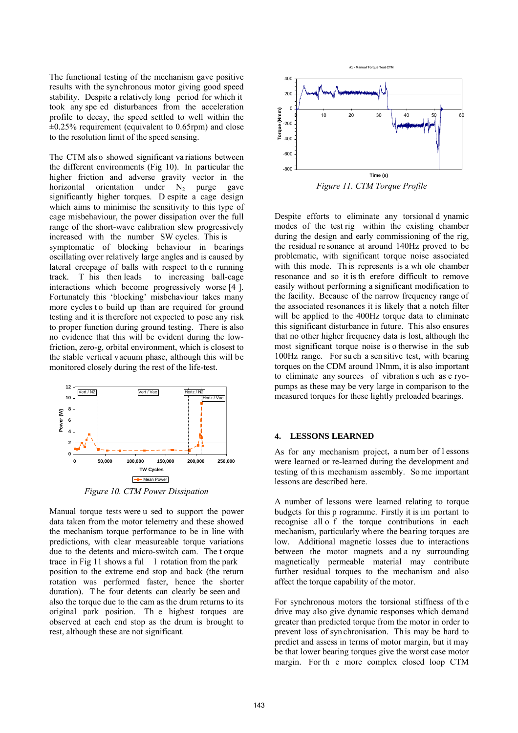The functional testing of the mechanism gave positive results with the synchronous motor giving good speed stability. Despite a relatively long period for which it took any spe ed disturbances from the acceleration profile to decay, the speed settled to well within the  $\pm 0.25\%$  requirement (equivalent to 0.65rpm) and close to the resolution limit of the speed sensing.

The CTM also showed significant va riations between the different environments (Fig  $10$ ). In particular the higher friction and adverse gravity vector in the horizontal orientation under  $N_2$  purge gave significantly higher torques. D espite a cage design which aims to minimise the sensitivity to this type of cage misbehaviour, the power dissipation over the full range of the short-wave calibration slew progressively increased with the number SW cycles. This is symptomatic of blocking behaviour in bearings oscillating over relatively large angles and is caused by lateral creepage of balls with respect to th e running track. T his then leads to increasing ball-cage interactions which become progressively worse [4 ]. Fortunately this 'blocking' misbehaviour takes many more cycles to build up than are required for ground testing and it is therefore not expected to pose any risk to proper function during ground testing. There is also no evidence that this will be evident during the lowfriction, zero-g, orbital environment, which is closest to the stable vertical vacuum phase, although this will be monitored closely during the rest of the life-test.



*Figure 10. CTM Power Dissipation*

Manual torque tests were u sed to support the power data taken from the motor telemetry and these showed the mechanism torque performance to be in line with predictions, with clear measureable torque variations due to the detents and micro-switch cam. The t orque trace in Fig 11 shows a ful l rotation from the park position to the extreme end stop and back (the return rotation was performed faster, hence the shorter duration). T he four detents can clearly be seen and also the torque due to the cam as the drum returns to its original park position. Th e highest torques are observed at each end stop as the drum is brought to rest, although these are not significant.



*Figure 11. CTM Torque Profile*

Despite efforts to eliminate any torsional d ynamic modes of the test rig within the existing chamber during the design and early commissioning of the rig, the residual re sonance at around 140Hz proved to be problematic, with significant torque noise associated with this mode. Th is represents is a wh ole chamber resonance and so it is th erefore difficult to remove easily without performing a significant modification to the facility. Because of the narrow frequency range of the associated resonances it is likely that a notch filter will be applied to the 400Hz torque data to eliminate this significant disturbance in future. This also ensures that no other higher frequency data is lost, although the most significant torque noise is o therwise in the sub 100Hz range. For su ch a sen sitive test, with bearing torques on the CDM around 1Nmm, it is also important to eliminate any sources of vibration s uch as c ryopumps as these may be very large in comparison to the measured torques for these lightly preloaded bearings.

#### **. LESSONS LEARNED 4**

As for any mechanism project, a num ber of l essons were learned or re-learned during the development and testing of th is mechanism assembly. So me important lessons are described here.

A number of lessons were learned relating to torque budgets for this p rogramme. Firstly it is im portant to recognise all o f the torque contributions in each mechanism, particularly where the bearing torques are low. Additional magnetic losses due to interactions between the motor magnets and a ny surrounding magnetically permeable material may contribute further residual torques to the mechanism and also affect the torque capability of the motor.

For synchronous motors the torsional stiffness of the drive may also give dynamic responses which demand greater than predicted torque from the motor in order to prevent loss of syn chronisation. Th is may be hard to predict and assess in terms of motor margin, but it may be that lower bearing torques give the worst case motor margin. For th e more complex closed loop CTM